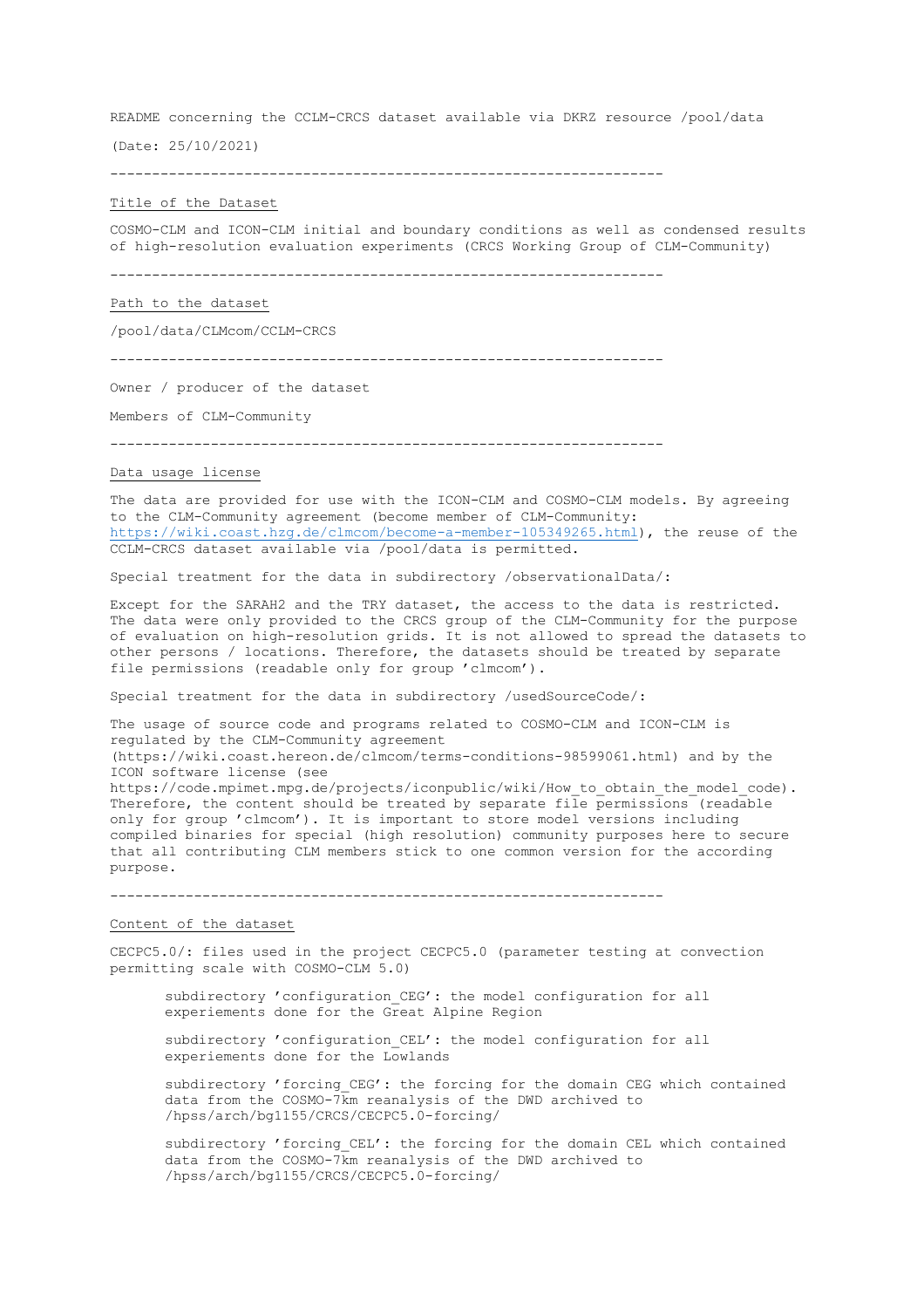README concerning the CCLM-CRCS dataset available via DKRZ resource /pool/data

(Date: 25/10/2021)

 $-$ 

#### Title of the Dataset

COSMO-CLM and ICON-CLM initial and boundary conditions as well as condensed results of high-resolution evaluation experiments (CRCS Working Group of CLM-Community)

------------------------------------------------------------------

#### Path to the dataset

/pool/data/CLMcom/CCLM-CRCS

------------------------------------------------------------------

Owner / producer of the dataset

Members of CLM-Community

------------------------------------------------------------------

# Data usage license

The data are provided for use with the ICON-CLM and COSMO-CLM models. By agreeing to the CLM-Community agreement (become member of CLM-Community: https://wiki.coast.hzg.de/clmcom/become-a-member-105349265.html), the reuse of the CCLM-CRCS dataset available via /pool/data is permitted.

Special treatment for the data in subdirectory /observationalData/:

Except for the SARAH2 and the TRY dataset, the access to the data is restricted. The data were only provided to the CRCS group of the CLM-Community for the purpose of evaluation on high-resolution grids. It is not allowed to spread the datasets to other persons / locations. Therefore, the datasets should be treated by separate file permissions (readable only for group 'clmcom').

Special treatment for the data in subdirectory /usedSourceCode/:

The usage of source code and programs related to COSMO-CLM and ICON-CLM is regulated by the CLM-Community agreement (https://wiki.coast.hereon.de/clmcom/terms-conditions-98599061.html) and by the ICON software license (see https://code.mpimet.mpg.de/projects/iconpublic/wiki/How to obtain the model code). Therefore, the content should be treated by separate file permissions (readable only for group 'clmcom'). It is important to store model versions including compiled binaries for special (high resolution) community purposes here to secure that all contributing CLM members stick to one common version for the according purpose.

------------------------------------------------------------------

# Content of the dataset

CECPC5.0/: files used in the project CECPC5.0 (parameter testing at convection permitting scale with COSMO-CLM 5.0)

subdirectory 'configuration CEG': the model configuration for all experiements done for the Great Alpine Region

subdirectory 'configuration\_CEL': the model configuration for all experiements done for the Lowlands

subdirectory 'forcing CEG': the forcing for the domain CEG which contained data from the COSMO-7km reanalysis of the DWD archived to /hpss/arch/bg1155/CRCS/CECPC5.0-forcing/

subdirectory 'forcing CEL': the forcing for the domain CEL which contained data from the COSMO-7km reanalysis of the DWD archived to /hpss/arch/bg1155/CRCS/CECPC5.0-forcing/